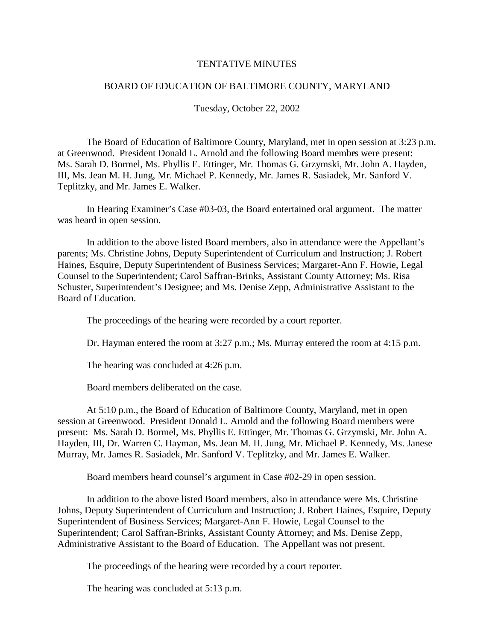#### **TENTATIVEMINUTES**

### BOARD OF EDUCATION OF BALTIMORE COUNTY, MARYLAND

Tuesday, October 22, 2002

The Board of Education of Baltimore County, Maryland, met in open session at 3:23 p.m. at Greenwood. President Donald L. Arnold and the following Board membes were present: Ms. Sarah D. Bormel, Ms. Phyllis E. Ettinger, Mr. Thomas G. Grzymski, Mr. John A. Hayden, III, Ms. Jean M. H. Jung, Mr. Michael P. Kennedy, Mr. James R. Sasiadek, Mr. Sanford V. Teplitzky, and Mr. James E. Walker.

In Hearing Examiner' s Case #03 -03, the Board entertained oral argument. The matter was heard in open session.

In addition to the above listed Board members, also in attendance were the Appellant's parents; Ms. Christine Johns, Deputy Superintendent of Curriculum and Instru ction; J. Robert Haines, Esquire, Deputy Superintendent of Business Services; Margaret -Ann F. Howie, Legal Counseltothe Superintendent; Carol Saffran -Brinks, Assistant County Attorney; Ms. Risa Schuster, Superintendent's Designee; and Ms. Denise Zepp, Ad ministrative Assistant to the Board of Education.

The proceedings of the hearing were recorded by a court reporter.

Dr. Hayman entered the room at  $3:27$  p.m.; Ms. Murray entered the room at  $4:15$  p.m.

The hearing was concluded at 4:26p.m.

Board memb ers deliberated on the case.

At 5:10 p.m., the Board of Education of Baltimore County, Maryland, metinopen session at Greenwood. President Donald L. Arnold and the following Board members were present: Ms. Sarah D. Bormel, Ms. Phyllis E. Ettinger, Mr. Thomas G. Grzymski, Mr. John A. Hayden, III, Dr. Warren C. Hayman, Ms. Jean M. H. Jung, Mr. Michael P. Kennedy, Ms. Janese Murray, Mr. James R. Sasiadek, Mr. Sanford V. Teplitzky, and Mr. James E. Walker.

Board members heard counsel's argument in Ca se#02 -29 in open session.

In addition to the above listed Board members, also in attendance were Ms. Christine Johns, Deputy Superintendent of Curriculum and Instruction; J. Robert Haines, Esquire, Deputy Superintendent of Business Services; Margaret - Ann F. Howie, Legal Counsel to the Superintendent; Carol Saffran - Brinks, Assistant County Attorney; and Ms. Denise Zepp, Administrative Assistant to the Board of Education. The Appellant was not present.

The proceedings of the hearing were recorded by a court reporter.

The hearing was concluded at 5:13 p.m.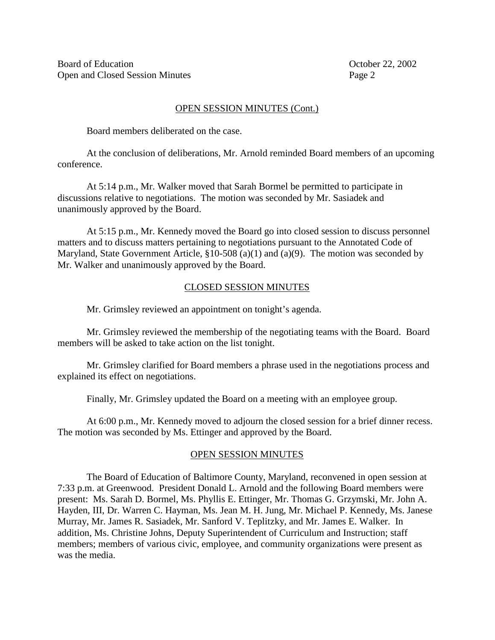## OPENSESSIONMINUTES(Cont.)

Board members deliberated on the case.

Atthe conclusion of deliberations, Mr. Arnold reminded Board members of an upcoming conference.

At 5:14 p.m., Mr. Walker moved that Sarah Bormel be permitted to participate in discussions relative to negotiations. The motion was seconded by Mr. Sasiadek and unanimously approved by the Board.

At 5:15 p.m., Mr. Kennedy moved the Board goint oclosed session to discuss personnel matters and to discuss matters pertaining to negotiations pursuant to the Annotated Code of Maryland, State Government Article,  $$10 - 508(a)(1)$  and  $(a)(9)$ . The motion was seconded by Mr. Walker and unanimously approved by the Board.

# CLOSEDSESSIONMINUTES

Mr. Grimsley reviewed an appointment ontonight's agenda.

Mr. Grimsley reviewed the membership of the negotiating teams with the Board. Board members will be as ked to take action on the list tonight.

Mr. Grimsley clarified for Board members a phrase used in the negotiations process and explained its effect on negotiations.

Finally, Mr. Grimsley updated the Board on a meeting with an employee group.

At 6:00 p.m., Mr. Kennedy moved to adjourn the closed session for a brief dinner recess. The motion was seconded by Ms. Etting erand approved by the Board.

## **OPENSESSIONMINUTES**

The Board of Education of Baltimore County, Maryland, reconvened in open session at 7:33 p.m. at Greenwood. President Donald L. Arnold and the following Board members were present: Ms. Sarah D. Bormel, Ms. Phyllis E. Ettinger, Mr. Thomas G. Grzymski, Mr. John A. Hayden, III, Dr. Warren C. Hayman, Ms. Jean M. H. Jung, Mr. Michael P. Ken hedy, Ms. Janese Murray, Mr. James R. Sasiadek, Mr. Sanford V. Teplitzky, and Mr. James E. Walker. In addition, Ms. Christine Johns, Deputy Superintendent of Curriculum and Instruction; staff members; members of various civic, employee, and community orga nizations were present as was the media.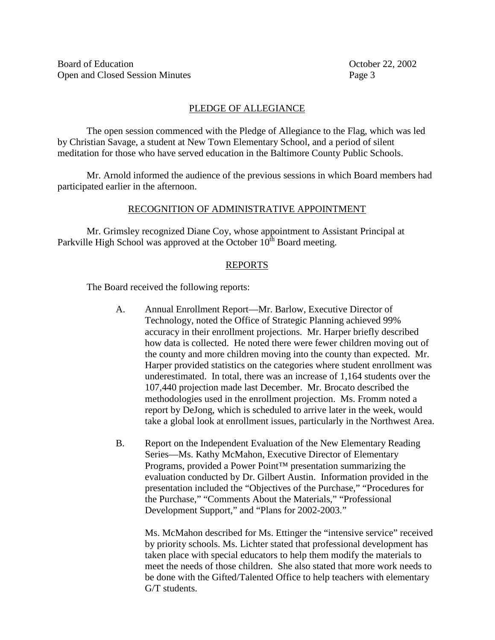# PLEDGEOFALLEGIANCE

The open session commenced with the Pledge of Allegiance to the Flag, which was led by Christian Sav age, a student at New Town Elementary School, and a period of silent meditation for those who have served education in the Baltimore County Public Schools.

Mr. Arnold informed the audience of the previous sessions in which Board members had participated earlier in the afternoon.

# RECOGNITION OF ADMINISTRATIVE APPOINTMENT

Mr. Grimsley recognized Diane Coy, whose appointment to Assistant Principal at Parkville High School was approved at the October 10 th Board meeting.

# REPORTS

The Board received the fo llowing reports:

- A. Annual Enrollment Report —Mr. Barlow, Executive Director of Technology, noted the Office of Strategic Planning achieved 99% accuracy in their enrollment projections. Mr. Harper briefly described how data is collected. He noted there w ere fewer children moving out of the county and more children moving into the county than expected. Mr. Harper provided statistics on the categories where student enrollment was underestimated. Intotal, there was an increase of 1,164 students over the 107,440 projection made last December. Mr. Brocato described the methodologies used in the enrollment projection. Ms. From mnoted a report by DeJong, which is scheduled to arrive later in the week, would take a global look at enrollment issues, particular lyin the Northwest Area.
- B. Report on the Independent Evaluation of the New Elementary Reading Series—Ms. Kathy McMahon, Executive Director of Elementary Programs, provided a Power Point <sup>TM</sup> presentation summarizing the evaluation conducted by Dr. Gilbert Austin. Information provided in the presentation included the "Objectives of the Purchase," "Procedures for the Purchase," "Comments About the Materials," "Professional Development Support," and "Plans for 2002 - 2003."

Ms. McMahon described for Ms. Etting er the "intensive service" received by priority schools. Ms. Lichter stated that professional development has taken place with special educators to help them modify them aterials to meet the needs of those children. She also stated that more work needs to be done with the Gifted/Talented Office to help teachers with elementary G/Tstudents.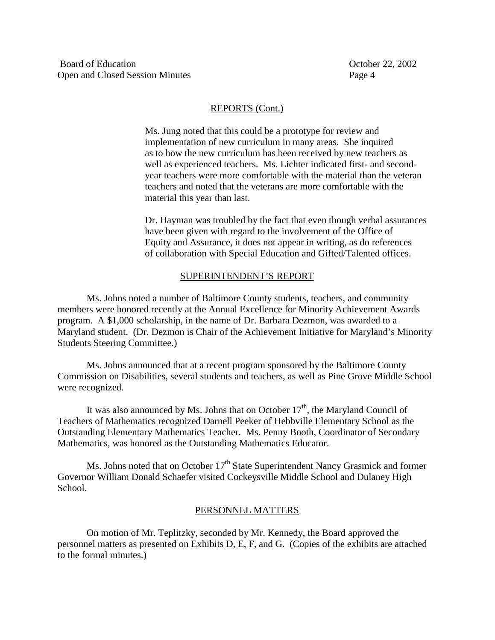### REPORTS (Cont.)

Ms. Jung noted that this could be a prototype for review and implementation of new curriculum in many areas. She inquired asto how the new curriculum has been received by new teachers as wellas experienced teachers. Ms. Lichter indicated fir st-and second yearteachers were more comfortable with the material than the veteran teachers and noted that the veterans are more comfortable with the material this year than last.

Dr. Hayman was troubled by the fact that even though verbal assurance s have been given with regard to the involvement of the Office of Equity and Assurance, it does not appear in writing, as do references of collaboration with Special Education and Gifted/Talented offices.

#### SUPERINTENDENT'S REPORT

Ms. Johns noted a number of Baltimore County students, teachers, and community members were honored recently at the Annual Excellence for Minority Achievement Awards program. A \$1,000 scholarship, in the name of Dr. Barbara Dezmon, was awarded to a Maryland student. (Dr. Dezmon is Chair of the Achievement Initiative for Maryland's Minority Students Steering Committee.)

Ms. Johns announced that a tare cent programs ponsored by the Baltimore County Commission on Disabilities, several students and teachers, as well as Pine Grov e Middle School were recognized.

It was also announced by Ms. Johns that on October 17 th, the Maryland Council of Teachers of Mathematics recognized Darnell Peeker of Hebbville Elementary School as the Outstanding Elementary Mathematics Teacher. Ms. Pen ny Booth, Coordinator of Secondary Mathematics, was honored as the Outstanding Mathematics Educator.

Ms. Johns noted that on October 17 th State Superintendent Nancy Grasmick and former Governor William Donald Schaefer visited Cockeys ville Middle School a nd Dulaney High School.

#### PERSONNELMATTERS

On motion of Mr. Teplitzky, seconded by Mr. Kennedy, the Board approved the personnel matters as presented on Exhibits D, E, F, and G. (Copies of the exhibits are attached to the formal minutes.)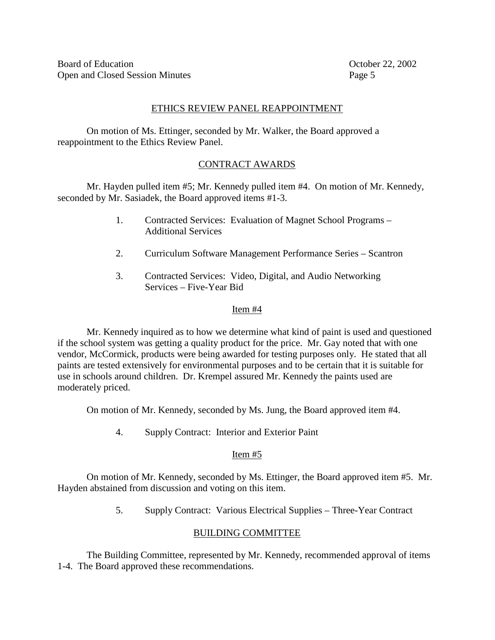# ETHICSREVIEWPANELREAPPOINTMENT

Onmotion of Ms. Ettinger, seconded by Mr. Walker, the Board approved a reappointment to the Ethics Review Panel.

# **CONTRACTAWARDS**

Mr. Hayd enpulled item #5; Mr. Kennedy pulled item #4. On motion of Mr. Kennedy, seconded by Mr. Sasiadek, the Board approved items #1 -3.

- 1. Contracted Services: Evaluation of Magnet School Programs **Additional Services**
- 2. Curriculum Software Manageme nt Performance Series Scantron
- 3. Contracted Services: Video, Digital, and Audio Networking Services – Five - Year Bid

# Item#4

Mr. Kennedy inquired as to how we determine what kind of paint is used and questioned if the school system was getti ng a quality product for the price. Mr. Gay noted that with one vendor, McCormick, products were being awarded fortesting purposes only. He stated that all paints are tested extensively for environmental purposes and to be certain that it is suitable fo r use inschools around children. Dr. Krempel assured Mr. Kennedy the paints used are moderately priced.

Onmotion of Mr. Kennedy, seconded by Ms. Jung, the Board approved item #4.

4. SupplyContract: Interior and Exterior Paint

# Item#5

On motion of Mr. Kennedy, seconded by Ms. Ettinger, the Board approved item #5. Mr. Hayden abstained from discussion and voting on this item.

5. Supply Contract: Various Electrical Supplies – Three -Year Contract

# BUILDING COMMITTEE

The Building Committee, re presented by Mr. Kennedy, recommended approval of items 1-4. The Board approved these recommendations.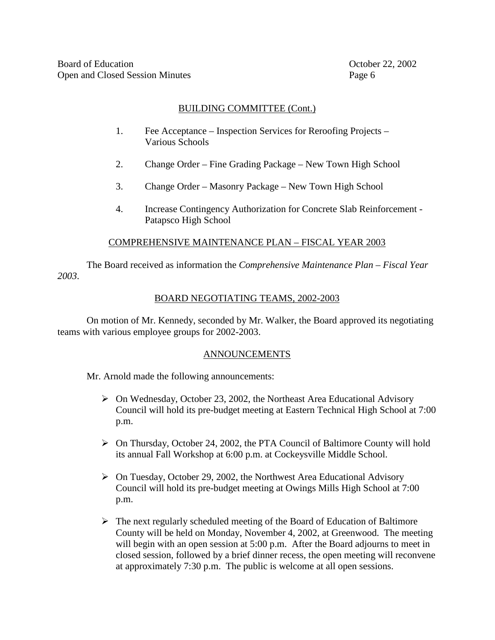# BUILDINGCOMMITTEE(Cont.)

- 1. Fee Acceptance Inspection Services for Reroofing Projects Various Schools
- 2. Change Order Fine Grading Package New Town High School
- 3. Change Order Masonry Package New Town High School
- 4. Increase Contingency Authorization for Concrete Slab Reinforcement PatapscoHigh School

# COMPREHENSIVEMAINTENANCEPLAN -FISCALYEAR2003

The Board received as information the *Comprehensive Maintenance Plan* – *Fiscal Year 2003*.

# BOARDNEGOTIATING TEAMS, 2002 - 2003

On motion of Mr. Kennedy, seconded by Mr. Walker, the Board approved its negotiating teams with various employees roups for  $2002 -2003$ .

# ANNOUNCEMENTS

Mr. Arnold made the following announcements:

- ▶ On Wednesday, October 23, 2002, the Northeast Area Educational Advisory Council will hold its pre -budget meet in gat Eastern Technical High School at 7:00 p.m.
- > On Thursday, October 24, 2002, the PTA Council of Baltimore County will hold its annual Fall Workshop at 6:00p.m. at Cockeys ville Middle School.
- > OnTuesday, October 29, 2002, the Northwest Area Educational Advisory Council will hold its pre -budget meeting at Owings Mills High School at 7:00 p.m.
- $\triangleright$  The next regularly scheduled meeting of the Board of Education of Baltimore County will be held on Monday, November 4, 2002, at Green wood. The meeting will begin with an open session at 5:00 p.m. After the Board adjourns to meet in closed session, followed by a brief dinner recess, the open meeting will reconvene at approximately 7:30 p.m. The public is welcome at all opensessions.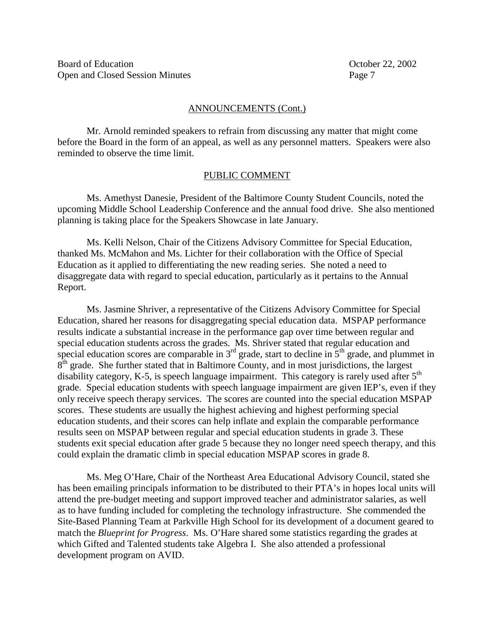#### ANNOUNCEMENTS (Cont.)

Mr. Arnold reminded speakers to refrain from discussing any matter that might come before the Board in the form of an appeal, as well as any personnel matters. Speakers w ere also reminded to observe the time limit.

#### PUBLICCOMMENT

Ms. Amethyst Danesie, President of the Baltimore County Student Councils, noted the upcoming Middle School Leadership Conference and the annual food drive. She also mentioned planning is takin g place for the Speakers Show case in late January.

Ms. Kelli Nelson, Chair of the Citizens Advisory Committee for Special Education, thanked Ms. McMahon and Ms. Lichter for their collaboration with the Office of Special Education as it applied to differe ntiating the new reading series. She noted a need to disaggregate data with regard to special education, particularly as it pertains to the Annual Report.

Ms. Jasmine Shriver, a representative of the Citizens Advisory Committee for Special Education, shared herreasons for disaggregating special education data. MSPAP performance results indicate a substantial increase in the performance gap over time between regular and special education students across the grades. Ms. Shriver stated that regulared u cation and<br>special educations cores are comparable in 3  $\sigma$ <sup>rd</sup> grade, start to decline in 5  $\sigma$ <sup>th</sup> grade, and plummet in special educations cores are comparable in 3  $8<sup>th</sup>$  grade. She further stated that in Baltimore County, and in most jurisdictions, the largest  $d$ isability category, K -5, is speech language impa irment. This category is rarely used after 5 th grade. Special education students with speech language impairment are given IEP's, even if they only receive speech therapy services. The scores are counted into the special education MSPAP scores. Theses tudents are usually the highest achieving and highest performing special education students, and their scores can help inflate and explain the comparable performance results seen on MSPAP between regular and special education students in grade 3. These students exits pecial education after grade 5 because they no longer need speech therapy, and this could explain the dramatic climb in special education MSPAP scores in grade 8.

Ms. MegO'Hare, Chair of the Northeast Area Educational Advisory Council, state dshe has been emailing principals information to be distributed to their PTA's inhopes local units will attend the pre-budget meeting and support improved teacher and administrator salaries, as well as to have funding included for completing the technolo gy infrastructure. She commended the Site-Based Planning Team at Parkville High School for its development of a document geared to match the *Blueprint for Progress* . Ms. O'Hare shared some statistics regarding the grades at which Gifted and Talented stude nts take Algebra I. She also attended a professional development program on AVID.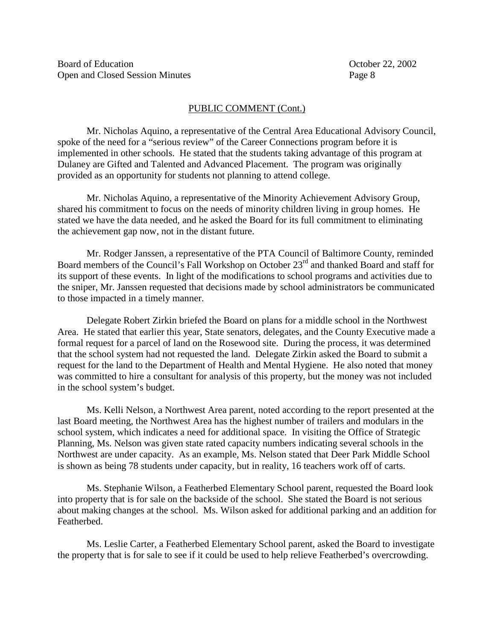## PUBLICCOMMENT(Cont.)

Mr. Nicholas Aquino, a representative of the Central Are a Educational Advisory Council, spoke of the need for a "serious review" of the Career Connections program before it is implemented in other schools. He stated that the students taking advantage of this program at Dulaney are Gifted and Talented and Advan ced Placement. The program was originally provided as an opportunity for students not planning to attend college.

Mr. Nicholas Aquino, are presentative of the Minority Achievement Advisory Group, shared his commitment to focus on the needs of minority children living in group homes. He stated we have the data needed, and he asked the Board for its full commitment to eliminating the achievement gap now, not in the distant future.

Mr. Rodger Janssen, are presentative of the PTA Council of Baltimore Co unty, reminded Board members of the Council's Fall Workshop on October 23 rd and thanked Board and staff for its support of these events. In light of the modifications to school programs and activities due to the sniper, Mr. Janssen requested that decision smade by school administrators be communicated to those impacted in a timely manner.

Delegate Robert Zirkin briefed the Board on plans for a middle school in the Northwest Area. He stated that earlier this year, State senators, delegates, and the Count vExecutive made a formal request for a parcel of land on the Rosewood site. During the process, it was determined that the school system had not requested the land. Delegate Zirkin asked the Board to submita request for the land to the Department of He alth and Mental Hygiene. He also noted that money was committed to hire a consultant for analysis of this property, but the money was not included in these hoolsystem's budget.

Ms. Kelli Nelson, a Northwest Area parent, noted according to the report pr esented at the last Board meeting, the North west Area has the highest number of trailers and modulars in the school system, which indicates a need for additional space. Invisiting the Office of Strategic Planning, Ms. Nelson was given state rated capacit ynumbers indicating severals chools in the Northwest are under capacity. As an example, Ms. Nelson stated that Deer Park Middle School is shown as being 78 students under capacity, but in reality, 16 teachers work of fof carts.

Ms. Stephanie Wilson, a Featherbed Elementary School parent, requested the Board look into property that is for sale on the backside of the school. She stated the Board is not serious about making changes at the school. Ms. Wilson asked for additional parking and an addition for respect to respect to respect to respect to respect to respect to respect to respect to respect to respect to respect to respe Featherbed.

Ms. Leslie Carter, a Featherbed Elementary School parent, asked the Board to investigate the property that is forsal eto see if it could be used to help relieve Featherbed's overcrowding.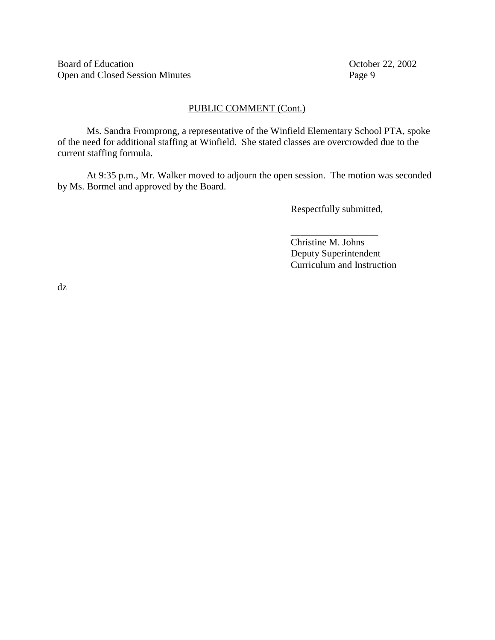Board of Education Corober 22, 2002 Open and Closed Session Minutes Page 9

## PUBLICCOMMENT(Cont.)

Ms. Sandra Fromprong, are presentative of the Winfield Elementary School PTA, spoke of the need for additional staffing at Winfield. She stated classes are overcrowded due to the currentst affingformula.

At 9:35 p.m., Mr. Walker moved to adjourn the open session. The motion was seconded by Ms. Bormel and approved by the Board.

Respectfully submitted,

\_\_\_\_\_\_\_\_\_\_\_\_\_\_\_\_\_\_ Christine M.Johns Deputy Superinte ndent **Curriculum and Instruction** 

dz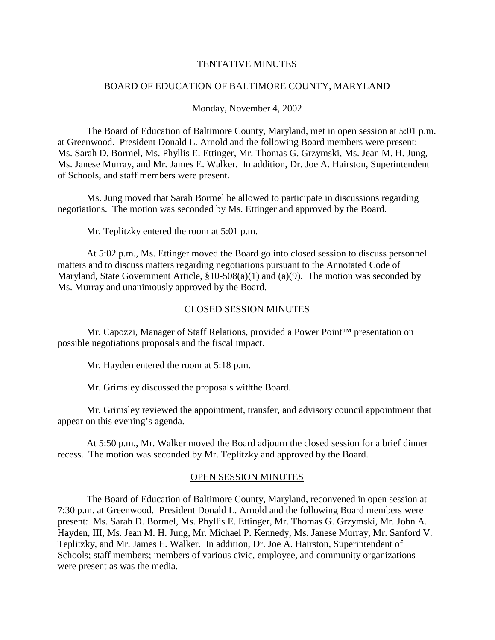#### TENTATIVEMINI ITES

### BOARD OF EDUCATION OF BALTIMORE COUNTY, MARYLAND

#### Monday, November 4, 2002

The Board of Education of Baltimore County, Maryland, met in open session at 5:01 p.m. at Greenwood. President Donald L. Arnold and the following Board members were present: Ms. Sarah D. Bormel, Ms. Phyllis E. Ettinger, Mr. Thomas G. Grzymski, Ms. Jean M. H. Jung, Ms. Janese Murray, and Mr. James E. Walker. In addition, Dr. Joe A. Hairston, Superintendent of Schools, and staff members were present.

Ms. Jung moved that Sarah Bormel be allowed to participate indiscussions regarding negotiations. The motion was seconded by Ms. Etting erand approved by the Board.

Mr. Teplitzky entered the room at 5:01 p.m.

At 5:02 p.m., Ms. Ettinger moved the Board goint closed session to discuss personnel matters and to discuss matters regarding negotiations pursuant to the Annotated Code of Maryland, State Government Article,  $$10 - 508(a)(1)$  and  $(a)(9)$ . The motion was seconded by Ms. Murray and unanimously approved by the Board.

#### CLOSEDSESSIONMINUTES

Mr. Capozzi, Manager of Staff Relations, provided a Power Point™ presentation on possible negotiations proposals and the fiscal impact.

Mr. Hayden entered the room at 5:18 p.m.

Mr. Grimsley discussed the proposals with the Board.

Mr. Grimsley reviewed the appointment, transfer, and advisory council appointment that appear on this evening's agenda.

At 5:50 p.m., Mr. Walker moved the Board adjourn the closed session for a brief dinner recess. The motion was seconded by Mr. Teplitzky and approved by the Board.

## **OPENSESSIONMINUTES**

The Board of Education of Baltimore County, Maryland, reconvened in open session at 7:30 p.m. at Greenwood. President Donald L. Arnold and the following Board members were present: Ms. Sarah D. Bormel, Ms. Phyllis E. Ettinger, Mr. Thomas G. Grzymski, Mr. John A. Hayden, III, Ms. Jean M. H. Jung, Mr. Michael P. Kennedy, Ms. Janese Murray, Mr. Sanford V. Teplitzky, and Mr. James E. Walker. In addition, Dr. Joe A. Hairston, Superintendent o f Schools; staff members; members of various civic, employee, and community organizations were present as was the media.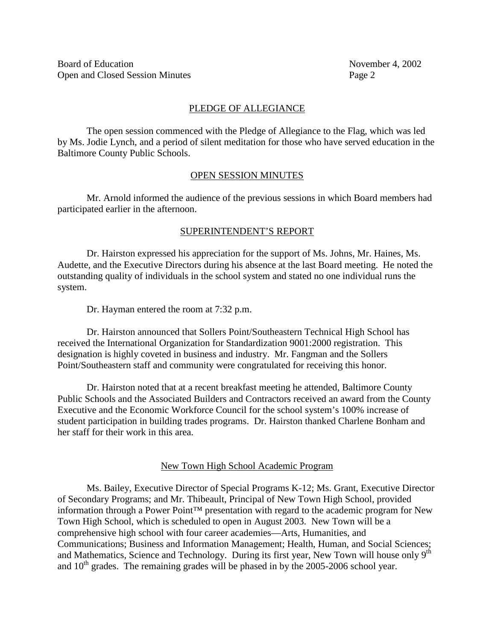# PLEDGEOFALLEGIANCE

The open session comm enced with the Pledge of Allegian ceto the Flag, which was led by Ms. Jodie Lynch, and a period of silent meditation for those who have served education in the Baltimore County Public Schools.

# **OPENSESSIONMINUTES**

Mr. Arnold informed the audience of the previous sessions in which Board members had participated earlier in the afternoon.

# SUPERINTENDENT'SREPORT

Dr. Hairston expressed his appreciation for the support of Ms. Johns, Mr. Haines, Ms. Audette, and the Executive Directors during his absence at the last Board meeting. He noted the outstanding quality of individuals in the school system and stated no one individual runs the system.

Dr. Hayman entered the room at 7:32 p.m.

Dr. Hairston announced that Sollers Point/Southeastern Technical High School has received the International Organization for Standardization 9001:2000 registration. This designation is highly coveted in business and industry. Mr. Fangman and the Sollers Point/Southeastern staff and community were congratulated for receivin gthis honor.

Dr. Hairstonnoted that at a recent breakfast meeting heattended, Baltimore County Public Schools and the Associated Builders and Contractors received an award from the County Executive and the Economic Workforce Council for the school sys tem's 100% increase of student participation in building trades programs. Dr. Hairston thanked Charlene Bonham and her staff for their work in this area.

# New Town High School Academic Program

Ms. Bailey, Executive Director of Special Programs K -12; Ms . Grant, Executive Director of Secondary Programs; and Mr. Thibeault, Principal of New Town High School, provided information through a Power Point™ presentation with regard to the academic program for New Town High School, which is scheduled to open in Au gust 2003. New Town will be a comprehensive highs chool with four career academies —Arts, Humanities, and Communications; Business and Information Management; Health, Human, and Social Sciences; and Mathematics, Science and Technology. During its first ye ar, New Town will house only 9 th and  $10$ <sup>th</sup> grades. The remaining grades will be phased in by the  $2005$   $-2006$  school year.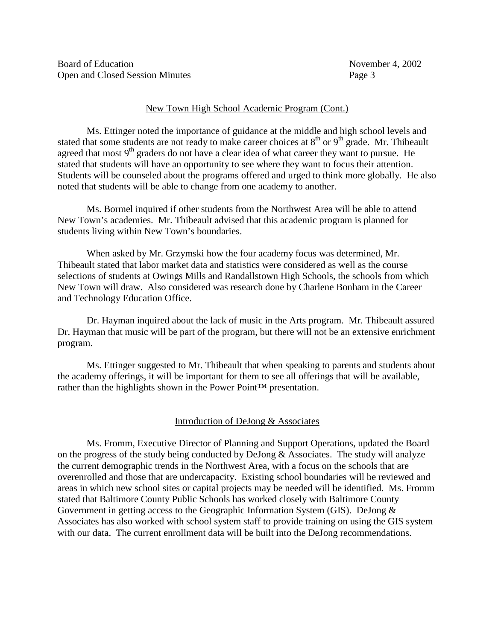Board of Education **November 4, 2002** Open and Closed Session Minutes Page 3

#### New Town High School Academic Program (Cont.)

Ms. Ettingernoted the importance of guidance at the middle and high school levels and hatsome students are not ready to make career choices at 8  $\mu$  or 9  $\mu$  rade. Mr. This beault stated that some students are not ready to make career choices at 8 agreed that most 9 th graders do not have a clear idea of what caree r they want to pursue. He stated that students will have an opportunity to see where they want to focus their attention. Students will be counseled about the programs offered and urged to think more globally. He also noted that students will be able to change from one academy to another.

Ms. Bormelinquired if other students from the Northwest Area will be able to attend New Town's academies. Mr. Thibeault advised that this academic program is planned for students living within New Town's boundaries.

When asked by Mr. Grzymski how the four academy focus was determined, Mr. Thibeault stated that labor market data and statistics were considered as well as the course selections of students at Owings Mills and Randalls town High Schools, the schools from which New Town will draw. Also considered was research done by Charlene Bonham in the Career and Technology Education Office.

Dr. Haymanin quired about the lack of music in the Arts program. Mr. Thibeault assured Dr. Hayman that music will be part of the program, but the rewill not be an extensive enrichment program.

Ms. Ettinger suggested to Mr. Thibeault that when speaking to parent sand students about the academy offerings, it will be important for them to see all offerings that will be available, rather than the highlights shown in the Power Point™ presentation.

## Introduction of DeJong & Associates

Ms. Fromm, Executive Director of Planning and Support Operations, updated the Board on the progress of the study being conducted by DeJong & Associa tes. The study will analyze the current demographic trends in the Northwest Area, with a focus on the schools that are overenrolled and those that are undercapacity. Existings chool boundaries will be reviewed and areas in which new school sites or capit al projects may be needed will be identified. Ms. From m stated that Baltimore County Public Schools has worked closely with Baltimore County Governmenting etting access to the Geographic Information System (GIS). DeJong  $\&$ Associates has also worked with school system staff to provide training on using the GIS system with our data. The current enrollment data will be built into the DeJong recommendations.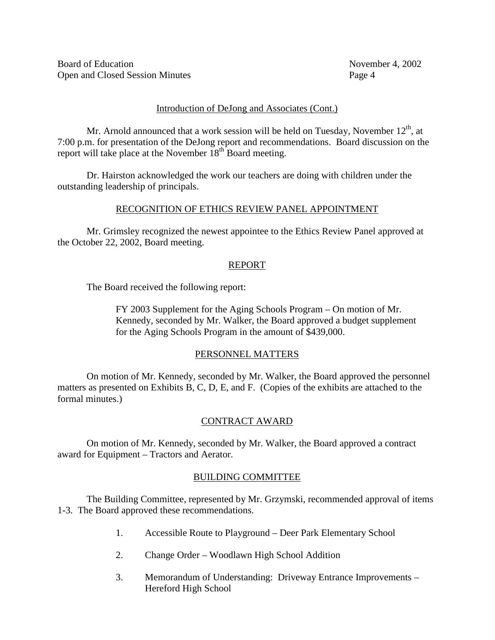Board of Education **November 4, 2002** Open and Closed Session Minutes Page 4

#### Introduction of DeJong and Associates (Cont.)

Mr. Arnold announced that a work session will be held on Tuesday, November 12  $t_1$ , at 7:00 p.m. for presentation of the DeJong report and recommendations. Board discussion on the report will take place at the Novembe  $\frac{1}{18}$  th Board meeting.

Dr. Hairston acknowledged the work our teachers are doing with children under the outstanding leadership of principals.

## RECOGNITION OF ETHICS REVIEW PANEL APPOINT MENT

Mr. Grimsley recognized the new estappointe et othe Ethics Rev iew Panel approved at the October 22, 2002, Board meeting.

# REPORT

The Board received the following report:

FY 2003 Supplement for the Aging Schools Program – On motion of Mr. Kennedy, seconded by Mr. Walker, the Board approved a budgets upplement fort he Aging Schools Program in the amount of \$439,000.

## PERSONNELMATTERS

On motion of Mr. Kennedy, seconded by Mr. Walker, the Board approved the personnel matters as presented on Exhibits B, C, D, E, and F. (Copies of the exhibits are attached to the formal minutes.)

# **CONTRACTAWARD**

Onmotion of Mr. Kennedy, seconded by Mr. Walker, the Board approved a contract award for Equipment – Tractors and Aerator.

## **BUILDINGCOMMITTEE**

The Building Committee, represented by Mr. Grzymski, recommended approval of i tems 1-3. The Board approved these recommendations.

- 1. Accessible Route to Playground Deer Park Elementary School
- 2. Change Order Woodlawn High School Addition
- 3. Memorandum of Understanding: Driveway Entrance Improvements Hereford High School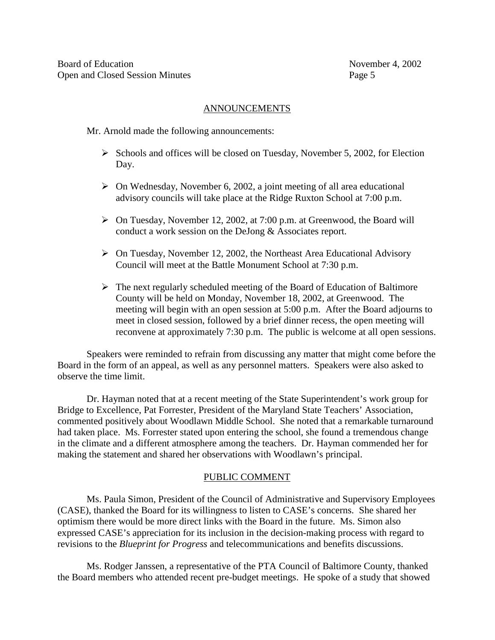### ANNOUNCEMENTS

Mr. Arnold made the following announcements:

- $\triangleright$  Schools and offices will be closed on Tuesday, November 5, 2002, for Election Day.
- $\triangleright$  On Wednesday , November 6, 2002, a joint meeting of all area educational advisory councils will take place at the Ridge Ruxton School at 7:00 p.m.
- > OnTuesday, November 12, 2002, at 7:00 p.m. at Greenwood, the Board will conduct a work session on the DeJong & Associate sreport.
- > OnTuesday, November 12, 2002, the Northeast Area Educational Advisory Council will meet at the Battle Monument School at 7:30p.m.
- $\triangleright$  The next regularly scheduled meeting of the Board of Education of Baltimore County will be held on Monday, Novem ber 18, 2002, at Green wood. The meeting will begin with an open session at 5:00 p.m. After the Board adjourns to meetinclosed session, followed by a brief dinner recess, the open meeting will reconveneatapproximately 7:30 p.m. The public is welcome at all open sessions.

Speakers were reminded to refrain from discussing any matter that might come before the Board in the form of an appeal, as well as any personnel matters. Speakers were also asked to observethetimelimit.

Dr. Haymann oted that at are cent meeting of the State Superintendent's work group for Bridgeto Excellence, Pat Forrester, President of the Maryland State Teachers' Association, commented positively about Woodlawn Middle School. She noted that are markable turnaround had taken p lace. Ms. For rester stated upon entering the school, she found a tremendous change in the climate and a different atmosphere among the teachers. Dr. Hayman commended her for making the statement and shared herobservations with Woodlawn's principal.

## **PUBLICCOMMENT**

Ms. Paula Simon, President of the Council of Administrative and Supervisory Employees (CASE), thanked the Board for its willingness to listen to CASE's concerns. She shared her optimism there would be more direct links with the Board in the future. Ms. Simon also expressed CASE's appreciation for its inclusion in the decision -making process with regard to revisions to the *Blueprint for Progress* and telecommunications and benefits discussions.

Ms. Rodger Janssen, a representative of the PTA Council of Baltimore County, thanked the Board members who attended recent pre -budget meetings. He spoke of a study that showed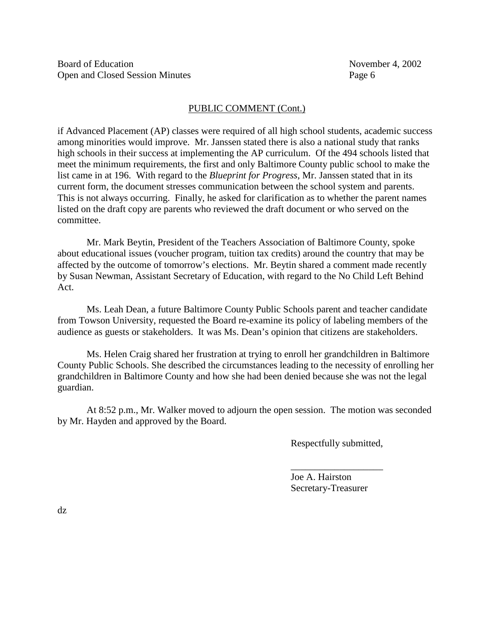### PUBLICCOMMENT(Cont.)

if Advance d Placement (AP) classes were required of all high schools tudents, academic success among minorities would improve. Mr. Janssen stated there is also a national study that ranks highschools in their successatimplementing the AP curriculum. Of the 494 schools listed that meet the minimum requirements, the first and only Baltimore County public school to make the list came in at 196. With regard to the *Blueprint for Progress* , Mr. Janssen stated that in its current form, the documents tresses communicati on between these hools ystem and parents. This is not always occurring. Finally, he asked for clarification as to whether the parent names listed on the draft copy are parents who reviewed the draft document or whose red on the committee.

Mr. Mark Bey tin, President of the Teachers Association of Baltimore County, spoke about educational issues (voucher program, tuition tax credits) around the country that may be affected by the outcome of tomorrow's elections. Mr. Beytins hared a comment made recently by Susan Newman, Assistant Secretary of Education, with regard to the No Child Left Behind Act.

Ms. Leah Dean, a future Baltimore County Public Schools parent and teacher candidate from Towson University, requested the Board re -examine its policy of label eling members of the audience as guests or stakeholders. It was Ms. Dean's opinion that citizens are stakeholders.

Ms. Helen Craigs hared her frustration at trying to enroll her grandchildren in Baltimore County Public Schools. She described the circums tances leading to the necessity of enrolling her grandchildren in Baltimore County and how she had been denied becauses he was not the legal guardian.

At 8:52 p.m., Mr. Walker moved to adjourn the open session. The motion was seconded by Mr. Hayden and approved by the Board.

Respectfully submitted,

\_\_\_\_\_\_\_\_\_\_\_\_\_\_\_\_\_\_\_ Joe A. Hairston Secretary-Treasurer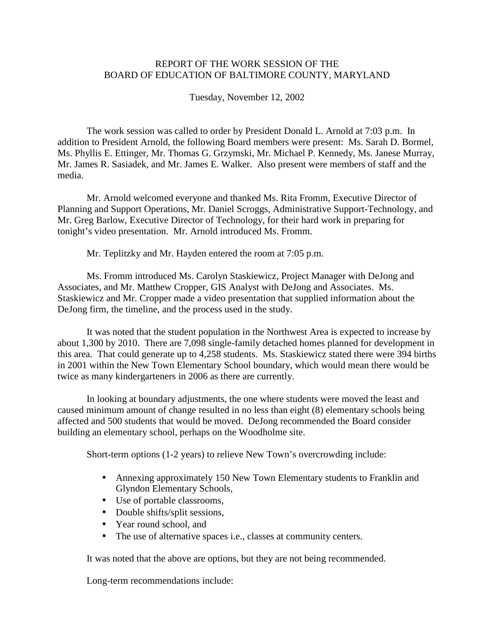# REPORT OF THE WORK SESSION OF THE BOARD OF EDUCATION OF BALTIMORE COUNTY, MARYLAND

Tuesday, November 12, 2002

The work session was called to order by President Donald L. Arnold at 7:03 p.m. In<br>http President Arnold, the following Board members were bressent: Ms. Sarah D. Bormel. addition to President Arnold, the following Board members Ms. Phyllis E. Ettinger, Mr. Thomas G. Grzymski, Mr. Michael P. Kennedy, Ms. Janese Murray, Mr. James R. Sasiadek, and Mr. James E. Walker. Also present were members of staff and the media.

Mr. Arnold welcome deveryon eand thanked Ms. Rita Fromm, Executive Director of Planning and Support Operations, Mr. Daniel Scroggs, Administrative Support - Technology, and Mr. Greg Barlow, Executive Director of Technology, for their hard work in preparing for tonight's video presenta tion. Mr. Arnold introduced Ms. Fromm.

Mr. Teplitzky and Mr. Hayden entered the room at 7:05 p.m.

Ms. Frommintroduced Ms. Carolyn Staskiewicz, Project Manager with DeJong and Associates, and Mr. Matthew Cropper, GIS Analyst with DeJong and Associates . Ms. Staskiewicz and Mr. Cropper made a video presentation that supplied information about the DeJong firm, the timeline, and the processus edin the study.

It was noted that the student population in the Northwest Area is expected to increase by about 1,300 by 2010. There are 7,098 single -family detached homes planned for development in this area. That could generate up to 4,258 students. Ms. Staskiewicz stated there were 394 births in 2001 within the New Town Elementary School boundary, which would mean there would be twice as many kindergarteners in 2006 as the reare currently.

In looking at boundary adjustments, the one where students were moved the least and caused minimum amount of changeresulted in no less than eight (8) elementary schools b eing affected and 500 students that would be moved. De Jong recommended the Board consider building an elementary school, perhaps on the Woodholme site.

Short-termoptions (1 -2 years) to relieve New Town's overcrowding include:

- Annexing approximately 150 New Town Elementary students to Franklin and Glyndon Elementary Schools,
- Useofportableclassrooms,
- Doubleshifts/splitsessions,
- Yearroundschool, and
- The use of alternative spaces i.e., classes at community centers.

It was noted that the above are options, but the variant obeing recommended.

Long-term recommendations include: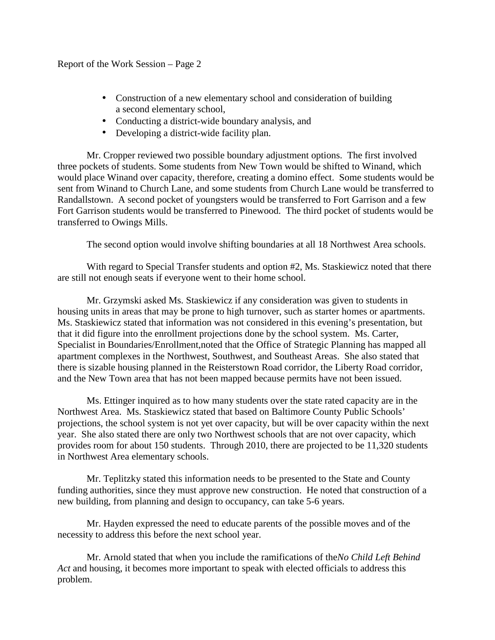- Construction of a new elementary school and consideration of building a second elementary school,
- Conducting a district -wideboundary analysis, and
- Developing a district -wide facility plan.

Mr. Cropper reviewed two possible boundary adjustment options. The first involved three pockets of students. Some students from New Town would be shifted to Winand, which would place Winand over cap acity, therefore, creating a domino effect. Some students would be sentfrom Winand to Church Lane, and some students from Church Lane would be transferred to Randallstown. A second pocket of young sters would be transferred to Fort Garrison and a few FortGarrisonstudents would be transferred to Pine wood. The third pocket of students would be transferred to Owings Mills.

The second option would involve shifting boundaries at all 18 Northwest Area schools.

With regard to Special Transfers tudents and option #2, Ms. Staskiewicz noted that there are still not enough seats if everyone went to their homes chool.

Mr. Grzymski asked Ms. Staskiewicz if any consideration was given to students in housing units in a reas that may be prone to high turnover, such asstarter homes or a partments. Ms. Staskiewicz stated that information was not considered in this evening's presentation, but that it did figure into the enrollment projections done by the school system. Ms. Carter, Specialistin Boundaries/Enrollment noted that the Office of Strategic Planning has mapped all apartment complexes in the Northwest, Southwest, and Southeast Areas. She also stated that thereissizable housing planned in the Reisterstown Road corridor, the Liberty Road corridor, and the N ew Town area that has not been mapped because permits have not been issued.

Ms. Ettingeringuired as to how many students over the state rated capacity are in the Northwest Area. Ms. Staskiewicz stated that based on Baltimore County Public Schools' projections, the schoolsy stemisnoty eto vercapacity, but will be over capacity within the next year. She also stated there are only two Northwests chools that are not over capacity, which provides room for about 150 students. Through 2010, there are pro jected to be 11,320 students in Northwest Area elementary schools.

Mr. Teplitzky stated this information needs to be presented to the State and County funding authorities, since the ymust approve new construction. He noted that construction of a new buil ding, from planning and design to occupancy, can take 5 -6 years.

Mr. Hayden expressed the need to educate parents of the possible moves and of the necessity to address this before the next school year.

Mr. Arnold stated that when you include the ramifica tions of the *No Child Left Behind*  Actandhousing, it becomes more important to speak with elected of ficials to address this problem.